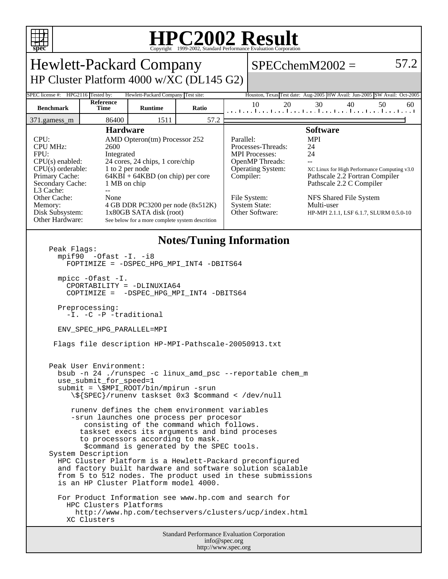

## **HPC2002 Result**

| <b>Hewlett-Packard Company</b>                                                                                                                                                                                                                                                                                                                                                                                                                                                                                                                                                                                                                                                                                                                                   |                                                                                       |                                                                                                                                                                                                                                                                                 |                                                                                                              |                        |                                                                                                                                                              | $SPECchemM2002 =$                                                                                                                                                                                                                          | 57.2 |
|------------------------------------------------------------------------------------------------------------------------------------------------------------------------------------------------------------------------------------------------------------------------------------------------------------------------------------------------------------------------------------------------------------------------------------------------------------------------------------------------------------------------------------------------------------------------------------------------------------------------------------------------------------------------------------------------------------------------------------------------------------------|---------------------------------------------------------------------------------------|---------------------------------------------------------------------------------------------------------------------------------------------------------------------------------------------------------------------------------------------------------------------------------|--------------------------------------------------------------------------------------------------------------|------------------------|--------------------------------------------------------------------------------------------------------------------------------------------------------------|--------------------------------------------------------------------------------------------------------------------------------------------------------------------------------------------------------------------------------------------|------|
|                                                                                                                                                                                                                                                                                                                                                                                                                                                                                                                                                                                                                                                                                                                                                                  |                                                                                       |                                                                                                                                                                                                                                                                                 |                                                                                                              |                        |                                                                                                                                                              |                                                                                                                                                                                                                                            |      |
| HP Cluster Platform 4000 w/XC (DL145 G2)                                                                                                                                                                                                                                                                                                                                                                                                                                                                                                                                                                                                                                                                                                                         |                                                                                       |                                                                                                                                                                                                                                                                                 |                                                                                                              |                        |                                                                                                                                                              |                                                                                                                                                                                                                                            |      |
|                                                                                                                                                                                                                                                                                                                                                                                                                                                                                                                                                                                                                                                                                                                                                                  | SPEC license #: HPG2116 Tested by:<br>Hewlett-Packard Company Test site:<br>Reference |                                                                                                                                                                                                                                                                                 | Houston, Texas Test date: Aug-2005 HW Avail: Jun-2005 SW Avail: Oct-2005<br>10<br>20<br>30<br>40<br>50<br>60 |                        |                                                                                                                                                              |                                                                                                                                                                                                                                            |      |
| <b>Benchmark</b>                                                                                                                                                                                                                                                                                                                                                                                                                                                                                                                                                                                                                                                                                                                                                 | Time                                                                                  | <b>Runtime</b>                                                                                                                                                                                                                                                                  | Ratio                                                                                                        |                        |                                                                                                                                                              | المتحا وبواجبها وبالمتوا وتواجعوا وتواجئوا وتواجعوا وتواجعوا وبالمت                                                                                                                                                                        |      |
| 86400<br>1511<br>57.2<br>371.gamess_m                                                                                                                                                                                                                                                                                                                                                                                                                                                                                                                                                                                                                                                                                                                            |                                                                                       |                                                                                                                                                                                                                                                                                 |                                                                                                              |                        |                                                                                                                                                              |                                                                                                                                                                                                                                            |      |
| CPU:<br><b>CPU MHz:</b><br>2600<br>FPII:<br>Integrated<br>CPU(s) enabled:<br>$CPU(s)$ orderable:<br>Primary Cache:<br>Secondary Cache:<br>L3 Cache:<br>$-$<br>Other Cache:<br>None<br>Memory:<br>Disk Subsystem:<br>Other Hardware:                                                                                                                                                                                                                                                                                                                                                                                                                                                                                                                              |                                                                                       | <b>Hardware</b><br>AMD Opteron(tm) Processor 252<br>24 cores, 24 chips, 1 core/chip<br>1 to 2 per node<br>$64KBI + 64KBD$ (on chip) per core<br>1 MB on chip<br>4 GB DDR PC3200 per node (8x512K)<br>1x80GB SATA disk (root)<br>See below for a more complete system descrition |                                                                                                              | Parallel:<br>Compiler: | Processes-Threads:<br><b>MPI</b> Processes:<br><b>OpenMP</b> Threads:<br><b>Operating System:</b><br>File System:<br><b>System State:</b><br>Other Software: | <b>Software</b><br><b>MPI</b><br>24<br>24<br>XC Linux for High Performance Computing v3.0<br>Pathscale 2.2 Fortran Compiler<br>Pathscale 2.2 C Compiler<br>NFS Shared File System<br>Multi-user<br>HP-MPI 2.1.1, LSF 6.1.7, SLURM 0.5.0-10 |      |
| <b>Notes/Tuning Information</b><br>Peak Flags:<br>$mpif90 -0fast -I. -i8$<br>FOPTIMIZE = - DSPEC_HPG_MPI_INT4 -DBITS64<br>mpicc -Ofast -I.<br>CPORTABILITY = -DLINUXIA64<br>COPTIMIZE = - DSPEC_HPG_MPI_INT4 -DBITS64<br>Preprocessing:<br>-I. -C -P -traditional<br>ENV_SPEC_HPG_PARALLEL=MPI<br>Flags file description HP-MPI-Pathscale-20050913.txt<br>Peak User Environment:<br>bsub -n 24 ./runspec -c linux_amd_psc --reportable chem_m<br>use_submit_for_speed=1<br>$submit = \SMPI_ROOT/bin/mpirun -srun$<br>\\${SPEC}/runenv taskset 0x3 \$command < /dev/null<br>runeny defines the chem environment variables<br>-srun launches one process per procesor<br>consisting of the command which follows.<br>taskset execs its arguments and bind proceses |                                                                                       |                                                                                                                                                                                                                                                                                 |                                                                                                              |                        |                                                                                                                                                              |                                                                                                                                                                                                                                            |      |
| to processors according to mask.<br>\$command is generated by the SPEC tools.<br>System Description<br>HPC Cluster Platform is a Hewlett-Packard preconfigured<br>and factory built hardware and software solution scalable<br>from 5 to 512 nodes. The product used in these submissions<br>is an HP Cluster Platform model 4000.<br>For Product Information see www.hp.com and search for<br>HPC Clusters Platforms<br>http://www.hp.com/techservers/clusters/ucp/index.html<br>XC Clusters                                                                                                                                                                                                                                                                    |                                                                                       |                                                                                                                                                                                                                                                                                 |                                                                                                              |                        |                                                                                                                                                              |                                                                                                                                                                                                                                            |      |
| <b>Standard Performance Evaluation Corporation</b><br>info@spec.org                                                                                                                                                                                                                                                                                                                                                                                                                                                                                                                                                                                                                                                                                              |                                                                                       |                                                                                                                                                                                                                                                                                 |                                                                                                              |                        |                                                                                                                                                              |                                                                                                                                                                                                                                            |      |

http://www.spec.org